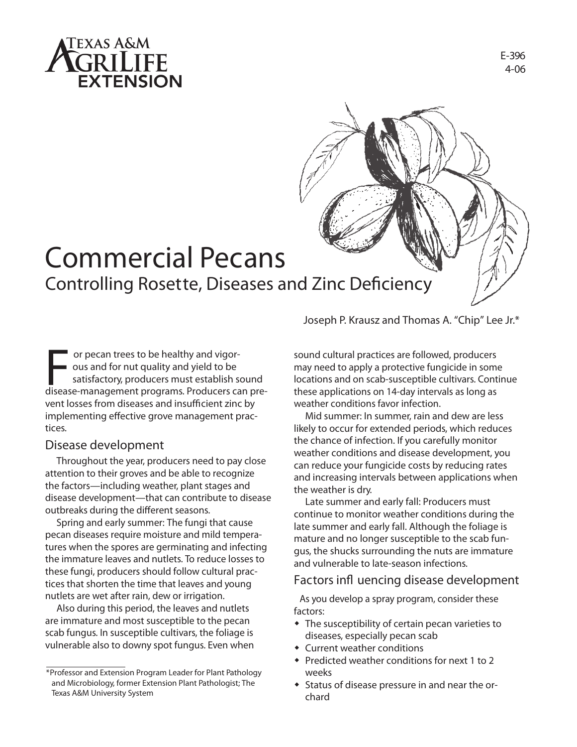

# **E-396 4-06**



# **Commercial Pecans Controlling Rosette, Diseases and Zinc Deficiency**

**F** or pecan trees to be healthy and vigor-<br>
ous and for nut quality and yield to be<br>
satisfactory, producers must establish sound<br>
disease-management programs. Producers can pre ous and for nut quality and yield to be satisfactory, producers must establish sound vent losses from diseases and insufficient zinc by implementing effective grove management practices.

# **Disease development**

Throughout the year, producers need to pay close attention to their groves and be able to recognize the factors—including weather, plant stages and disease development—that can contribute to disease outbreaks during the different seasons.

**Spring and early summer:** The fungi that cause pecan diseases require moisture and mild temperatures when the spores are germinating and infecting the immature leaves and nutlets. To reduce losses to these fungi, producers should follow cultural practices that shorten the time that leaves and young nutlets are wet after rain, dew or irrigation.

Also during this period, the leaves and nutlets are immature and most susceptible to the pecan scab fungus. In susceptible cultivars, the foliage is vulnerable also to downy spot fungus. Even when Joseph P. Krausz and Thomas A. "Chip" Lee Jr.\*

sound cultural practices are followed, producers may need to apply a protective fungicide in some locations and on scab-susceptible cultivars. Continue these applications on 14-day intervals as long as weather conditions favor infection.

Mid summer: In summer, rain and dew are less likely to occur for extended periods, which reduces the chance of infection. If you carefully monitor weather conditions and disease development, you can reduce your fungicide costs by reducing rates and increasing intervals between applications when the weather is dry.

Late summer and early fall: Producers must continue to monitor weather conditions during the late summer and early fall. Although the foliage is mature and no longer susceptible to the scab fungus, the shucks surrounding the nuts are immature and vulnerable to late-season infections.

# **Factors in uencing disease development**

As you develop a spray program, consider these factors:

- The susceptibility of certain pecan varieties to diseases, especially pecan scab
- Current weather conditions
- Predicted weather conditions for next 1 to 2 weeks
- Status of disease pressure in and near the orchard

<sup>\*</sup> Professor and Extension Program Leader for Plant Pathology and Microbiology, former Extension Plant Pathologist; The Texas A&M University System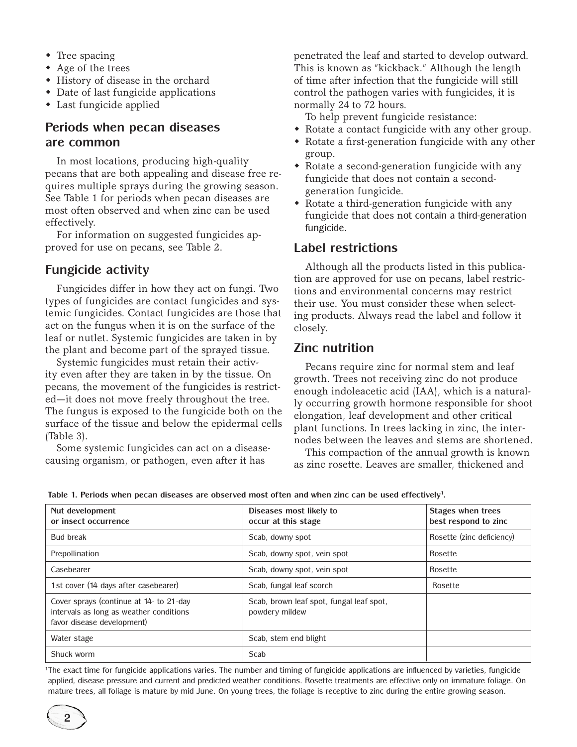- $\bullet$  Tree spacing
- $\triangle$  Age of the trees
- History of disease in the orchard
- Date of last fungicide applications
- $\bullet$  Last fungicide applied

# **Periods when pecan diseases are common**

In most locations, producing high-quality pecans that are both appealing and disease free requires multiple sprays during the growing season. See Table 1 for periods when pecan diseases are most often observed and when zinc can be used effectively.

For information on suggested fungicides approved for use on pecans, see Table 2.

### **Fungicide activity**

Fungicides differ in how they act on fungi. Two types of fungicides are contact fungicides and systemic fungicides. Contact fungicides are those that act on the fungus when it is on the surface of the leaf or nutlet. Systemic fungicides are taken in by the plant and become part of the sprayed tissue.

Systemic fungicides must retain their activity even after they are taken in by the tissue. On pecans, the movement of the fungicides is restricted—it does not move freely throughout the tree. The fungus is exposed to the fungicide both on the surface of the tissue and below the epidermal cells (Table 3).

Some systemic fungicides can act on a diseasecausing organism, or pathogen, even after it has

penetrated the leaf and started to develop outward. This is known as "kickback." Although the length of time after infection that the fungicide will still control the pathogen varies with fungicides, it is normally 24 to 72 hours.

To help prevent fungicide resistance:

- Rotate a contact fungicide with any other group.
- $\bullet$  Rotate a first-generation fungicide with any other group.
- $\bullet$  Rotate a second-generation fungicide with any fungicide that does not contain a secondgeneration fungicide.
- $\bullet$  Rotate a third-generation fungicide with any fungicide that does not contain a third-generation fungicide.

#### **Label restrictions**

Although all the products listed in this publication are approved for use on pecans, label restrictions and environmental concerns may restrict their use. You must consider these when selecting products. Always read the label and follow it closely.

# **Zinc nutrition**

Pecans require zinc for normal stem and leaf growth. Trees not receiving zinc do not produce enough indoleacetic acid (IAA), which is a naturally occurring growth hormone responsible for shoot elongation, leaf development and other critical plant functions. In trees lacking in zinc, the internodes between the leaves and stems are shortened.

This compaction of the annual growth is known as zinc rosette. Leaves are smaller, thickened and

| Nut development<br>or insect occurrence                                                                          | Diseases most likely to<br>occur at this stage             | Stages when trees<br>best respond to zinc |
|------------------------------------------------------------------------------------------------------------------|------------------------------------------------------------|-------------------------------------------|
| Bud break                                                                                                        | Scab, downy spot                                           | Rosette (zinc deficiency)                 |
| Prepollination                                                                                                   | Scab, downy spot, vein spot                                | Rosette                                   |
| Casebearer                                                                                                       | Scab, downy spot, vein spot                                | Rosette                                   |
| 1st cover (14 days after casebearer)                                                                             | Scab, fungal leaf scorch                                   | Rosette                                   |
| Cover sprays (continue at 14- to 21-day<br>intervals as long as weather conditions<br>favor disease development) | Scab, brown leaf spot, fungal leaf spot,<br>powdery mildew |                                           |
| Water stage                                                                                                      | Scab, stem end blight                                      |                                           |
| Shuck worm                                                                                                       | Scab                                                       |                                           |

Table 1. Periods when pecan diseases are observed most often and when zinc can be used effectively<sup>1</sup>.

<sup>1</sup>The exact time for fungicide applications varies. The number and timing of fungicide applications are influenced by varieties, fungicide applied, disease pressure and current and predicted weather conditions. Rosette treatments are effective only on immature foliage. On mature trees, all foliage is mature by mid June. On young trees, the foliage is receptive to zinc during the entire growing season.

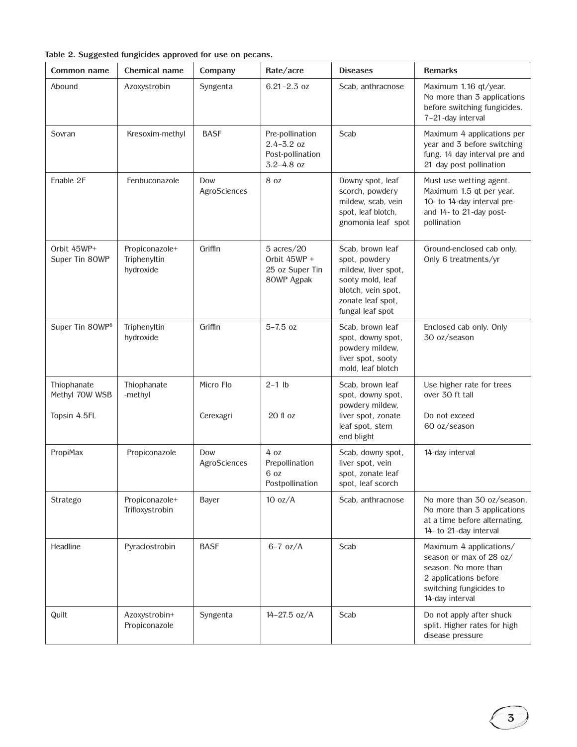|  | Table 2. Suggested fungicides approved for use on pecans |  |  |  |  |  |  |
|--|----------------------------------------------------------|--|--|--|--|--|--|
|--|----------------------------------------------------------|--|--|--|--|--|--|

| Common name                   | Chemical name                               | Company             | Rate/acre                                                               | <b>Diseases</b>                                                                                                                             | <b>Remarks</b>                                                                                                                                    |
|-------------------------------|---------------------------------------------|---------------------|-------------------------------------------------------------------------|---------------------------------------------------------------------------------------------------------------------------------------------|---------------------------------------------------------------------------------------------------------------------------------------------------|
| Abound                        | Azoxystrobin                                | Syngenta            | $6.21 - 2.3$ oz                                                         | Scab, anthracnose                                                                                                                           | Maximum 1.16 qt/year.<br>No more than 3 applications<br>before switching fungicides.<br>7-21-day interval                                         |
| Sovran                        | Kresoxim-methyl                             | <b>BASF</b>         | Pre-pollination<br>$2.4 - 3.2$ oz<br>Post-pollination<br>$3.2 - 4.8$ oz | Scab                                                                                                                                        | Maximum 4 applications per<br>year and 3 before switching<br>fung. 14 day interval pre and<br>21 day post pollination                             |
| Enable 2F                     | Fenbuconazole                               | Dow<br>AgroSciences | 8 oz                                                                    | Downy spot, leaf<br>scorch, powdery<br>mildew, scab, vein<br>spot, leaf blotch,<br>gnomonia leaf spot                                       | Must use wetting agent.<br>Maximum 1.5 qt per year.<br>10- to 14-day interval pre-<br>and 14- to 21-day post-<br>pollination                      |
| Orbit 45WP+<br>Super Tin 80WP | Propiconazole+<br>Triphenyltin<br>hydroxide | Griffin             | $5$ acres/20<br>Orbit $45WP +$<br>25 oz Super Tin<br>80WP Agpak         | Scab, brown leaf<br>spot, powdery<br>mildew, liver spot,<br>sooty mold, leaf<br>blotch, vein spot,<br>zonate leaf spot,<br>fungal leaf spot | Ground-enclosed cab only.<br>Only 6 treatments/yr                                                                                                 |
| Super Tin 80WP <sup>8</sup>   | Triphenyltin<br>hydroxide                   | Griffin             | $5 - 7.5$ oz                                                            | Scab, brown leaf<br>spot, downy spot,<br>powdery mildew,<br>liver spot, sooty<br>mold, leaf blotch                                          | Enclosed cab only. Only<br>30 oz/season                                                                                                           |
| Thiophanate<br>Methyl 70W WSB | Thiophanate<br>-methyl                      | Micro Flo           | $2-1$ lb                                                                | Scab, brown leaf<br>spot, downy spot,<br>powdery mildew,                                                                                    | Use higher rate for trees<br>over 30 ft tall                                                                                                      |
| Topsin 4.5FL                  |                                             | Cerexagri           | $20$ fl $oz$                                                            | liver spot, zonate<br>leaf spot, stem<br>end blight                                                                                         | Do not exceed<br>60 oz/season                                                                                                                     |
| PropiMax                      | Propiconazole                               | Dow<br>AgroSciences | 4 oz<br>Prepollination<br>6 oz<br>Postpollination                       | Scab, downy spot,<br>liver spot, vein<br>spot, zonate leaf<br>spot, leaf scorch                                                             | 14-day interval                                                                                                                                   |
| Stratego                      | Propiconazole+<br>Trifloxystrobin           | <b>Bayer</b>        | 10 oz/A                                                                 | Scab, anthracnose                                                                                                                           | No more than 30 oz/season.<br>No more than 3 applications<br>at a time before alternating.<br>14- to 21-day interval                              |
| Headline                      | Pyraclostrobin                              | <b>BASF</b>         | $6-7$ oz/A                                                              | Scab                                                                                                                                        | Maximum 4 applications/<br>season or max of 28 oz/<br>season. No more than<br>2 applications before<br>switching fungicides to<br>14-day interval |
| Quilt                         | Azoxystrobin+<br>Propiconazole              | Syngenta            | $14 - 27.5$ oz/A                                                        | Scab                                                                                                                                        | Do not apply after shuck<br>split. Higher rates for high<br>disease pressure                                                                      |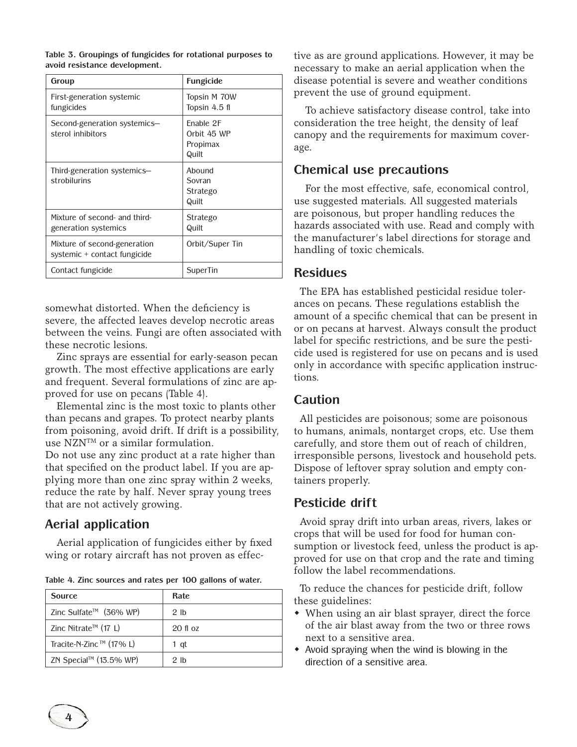|  | Table 3. Groupings of fungicides for rotational purposes to |  |
|--|-------------------------------------------------------------|--|
|  | avoid resistance development.                               |  |

| Group                                                        | <b>Fungicide</b>                              |
|--------------------------------------------------------------|-----------------------------------------------|
| First-generation systemic<br>fungicides                      | Topsin M 70W<br>Topsin 4.5 fl                 |
| Second-generation systemics-<br>sterol inhibitors            | Enable 2F<br>Orbit 45 WP<br>Propimax<br>Quilt |
| Third-generation systemics-<br>strobilurins                  | Abound<br>Sovran<br>Stratego<br>Quilt         |
| Mixture of second- and third-<br>generation systemics        | Stratego<br>Quilt                             |
| Mixture of second-generation<br>systemic + contact fungicide | Orbit/Super Tin                               |
| Contact fungicide                                            | SuperTin                                      |

somewhat distorted. When the deficiency is severe, the affected leaves develop necrotic areas between the veins. Fungi are often associated with these necrotic lesions.

Zinc sprays are essential for early-season pecan growth. The most effective applications are early and frequent. Several formulations of zinc are approved for use on pecans (Table 4).

Elemental zinc is the most toxic to plants other than pecans and grapes. To protect nearby plants from poisoning, avoid drift. If drift is a possibility, use NZNTM or a similar formulation.

Do not use any zinc product at a rate higher than that specified on the product label. If you are applying more than one zinc spray within 2 weeks, reduce the rate by half. Never spray young trees that are not actively growing.

# **Aerial application**

Aerial application of fungicides either by fixed wing or rotary aircraft has not proven as effec-

| Table 4. Zinc sources and rates per 100 gallons of water. |  |  |  |  |  |  |  |
|-----------------------------------------------------------|--|--|--|--|--|--|--|
|-----------------------------------------------------------|--|--|--|--|--|--|--|

| <b>Source</b>                    | Rate.           |
|----------------------------------|-----------------|
| Zinc Sulfate™ (36% WP)           | 2 <sub>lh</sub> |
| Zinc Nitrate <sup>™</sup> (17 L) | $20$ fl $0z$    |
| Tracite-N-Zinc™ (17% L)          | 1 qt            |
| ZN Special™ (13.5% WP)           | 2 <sub>lh</sub> |

tive as are ground applications. However, it may be necessary to make an aerial application when the disease potential is severe and weather conditions prevent the use of ground equipment.

To achieve satisfactory disease control, take into consideration the tree height, the density of leaf canopy and the requirements for maximum coverage.

## **Chemical use precautions**

For the most effective, safe, economical control, use suggested materials. All suggested materials are poisonous, but proper handling reduces the hazards associated with use. Read and comply with the manufacturer's label directions for storage and handling of toxic chemicals.

#### **Residues**

The EPA has established pesticidal residue tolerances on pecans. These regulations establish the amount of a specific chemical that can be present in or on pecans at harvest. Always consult the product label for specific restrictions, and be sure the pesticide used is registered for use on pecans and is used only in accordance with specific application instructions.

# **Caution**

All pesticides are poisonous; some are poisonous to humans, animals, nontarget crops, etc. Use them carefully, and store them out of reach of children, irresponsible persons, livestock and household pets. Dispose of leftover spray solution and empty containers properly.

# **Pesticide drift**

Avoid spray drift into urban areas, rivers, lakes or crops that will be used for food for human consumption or livestock feed, unless the product is approved for use on that crop and the rate and timing follow the label recommendations.

To reduce the chances for pesticide drift, follow these guidelines:

- When using an air blast sprayer, direct the force of the air blast away from the two or three rows next to a sensitive area.
- $\bullet$  Avoid spraying when the wind is blowing in the direction of a sensitive area.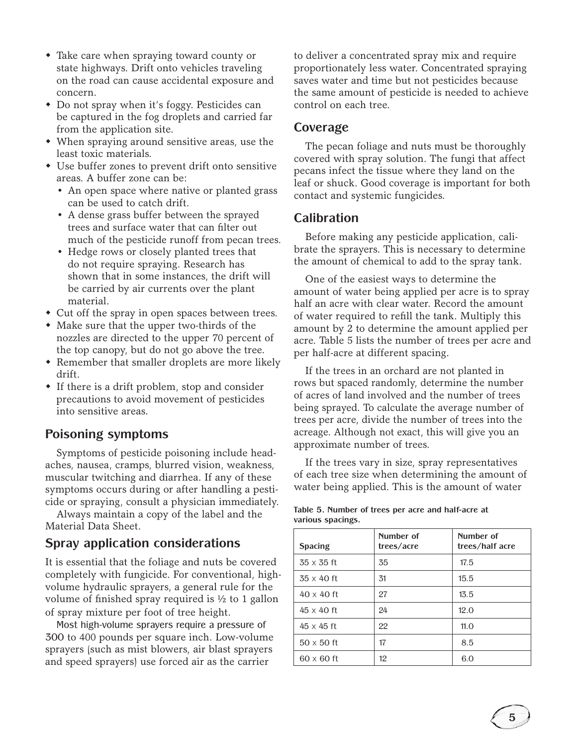- Take care when spraying toward county or state highways. Drift onto vehicles traveling on the road can cause accidental exposure and concern.
- Do not spray when it's foggy. Pesticides can be captured in the fog droplets and carried far from the application site.
- When spraying around sensitive areas, use the least toxic materials.
- Use buffer zones to prevent drift onto sensitive areas. A buffer zone can be:
	- An open space where native or planted grass can be used to catch drift.
	- A dense grass buffer between the sprayed trees and surface water that can filter out much of the pesticide runoff from pecan trees.
	- Hedge rows or closely planted trees that do not require spraying. Research has shown that in some instances, the drift will be carried by air currents over the plant material.
- Cut off the spray in open spaces between trees.
- Make sure that the upper two-thirds of the nozzles are directed to the upper 70 percent of the top canopy, but do not go above the tree.
- Remember that smaller droplets are more likely drift.
- $\bullet$  If there is a drift problem, stop and consider precautions to avoid movement of pesticides into sensitive areas.

# **Poisoning symptoms**

Symptoms of pesticide poisoning include headaches, nausea, cramps, blurred vision, weakness, muscular twitching and diarrhea. If any of these symptoms occurs during or after handling a pesticide or spraying, consult a physician immediately.

Always maintain a copy of the label and the Material Data Sheet.

# **Spray application considerations**

It is essential that the foliage and nuts be covered completely with fungicide. For conventional, highvolume hydraulic sprayers, a general rule for the volume of finished spray required is  $\frac{1}{2}$  to 1 gallon of spray mixture per foot of tree height.

Most high-volume sprayers require a pressure of 300 to 400 pounds per square inch. Low-volume sprayers (such as mist blowers, air blast sprayers and speed sprayers) use forced air as the carrier

to deliver a concentrated spray mix and require proportionately less water. Concentrated spraying saves water and time but not pesticides because the same amount of pesticide is needed to achieve control on each tree.

# **Coverage**

The pecan foliage and nuts must be thoroughly covered with spray solution. The fungi that affect pecans infect the tissue where they land on the leaf or shuck. Good coverage is important for both contact and systemic fungicides.

# **Calibration**

Before making any pesticide application, calibrate the sprayers. This is necessary to determine the amount of chemical to add to the spray tank.

One of the easiest ways to determine the amount of water being applied per acre is to spray half an acre with clear water. Record the amount of water required to refill the tank. Multiply this amount by 2 to determine the amount applied per acre. Table 5 lists the number of trees per acre and per half-acre at different spacing.

If the trees in an orchard are not planted in rows but spaced randomly, determine the number of acres of land involved and the number of trees being sprayed. To calculate the average number of trees per acre, divide the number of trees into the acreage. Although not exact, this will give you an approximate number of trees.

If the trees vary in size, spray representatives of each tree size when determining the amount of water being applied. This is the amount of water

| <b>Spacing</b>    | Number of<br>trees/acre | Number of<br>trees/half acre |
|-------------------|-------------------------|------------------------------|
| $35 \times 35$ ft | 35                      | 17.5                         |
| $35 \times 40$ ft | 31                      | 15.5                         |
| $40 \times 40$ ft | 27                      | 13.5                         |
| $45 \times 40$ ft | 24                      | 12.0                         |
| $45 \times 45$ ft | 22                      | 11.0                         |
| $50 \times 50$ ft | 17                      | 8.5                          |
| $60 \times 60$ ft | 12                      | 6.0                          |

#### **Table 5. Number of trees per acre and half-acre at various spacings.**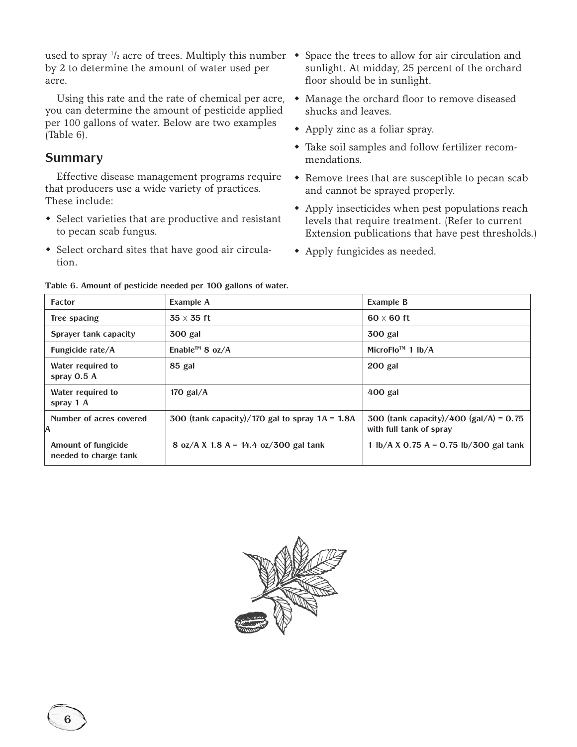used to spray  $\frac{1}{2}$  acre of trees. Multiply this number  $\bullet$  Space the trees to allow for air circulation and by 2 to determine the amount of water used per acre.

Using this rate and the rate of chemical per acre, you can determine the amount of pesticide applied per 100 gallons of water. Below are two examples (Table 6).

# **Summary**

Effective disease management programs require that producers use a wide variety of practices. These include:

- Select varieties that are productive and resistant to pecan scab fungus.
- Select orchard sites that have good air circulation.
- sunlight. At midday, 25 percent of the orchard floor should be in sunlight.
- Manage the orchard floor to remove diseased shucks and leaves.
- Apply zinc as a foliar spray.
- $\bullet$  Take soil samples and follow fertilizer recommendations.
- Remove trees that are susceptible to pecan scab and cannot be sprayed properly.
- Apply insecticides when pest populations reach levels that require treatment. (Refer to current Extension publications that have pest thresholds.)
- Apply fungicides as needed.

| <b>Factor</b>                                | <b>Example A</b>                                 | <b>Example B</b>                                                    |
|----------------------------------------------|--------------------------------------------------|---------------------------------------------------------------------|
| Tree spacing                                 | $35 \times 35$ ft                                | $60 \times 60$ ft                                                   |
| Sprayer tank capacity                        | 300 gal                                          | <b>300 gal</b>                                                      |
| Fungicide rate/A                             | Enable <sup>™</sup> 8 oz/A                       | MicroFlo <sup>™</sup> 1 lb/A                                        |
| Water required to<br>spray $0.5A$            | 85 gal                                           | $200$ gal                                                           |
| Water required to<br>spray 1 A               | 170 gal/ $\overline{A}$                          | 400 gal                                                             |
| Number of acres covered<br>IA                | 300 (tank capacity)/170 gal to spray $1A = 1.8A$ | 300 (tank capacity)/400 (gal/A) = $0.75$<br>with full tank of spray |
| Amount of fungicide<br>needed to charge tank | 8 oz/A X 1.8 A = 14.4 oz/300 gal tank            | 1 lb/A X 0.75 A = 0.75 lb/300 gal tank                              |

**Table 6. Amount of pesticide needed per 100 gallons of water.**